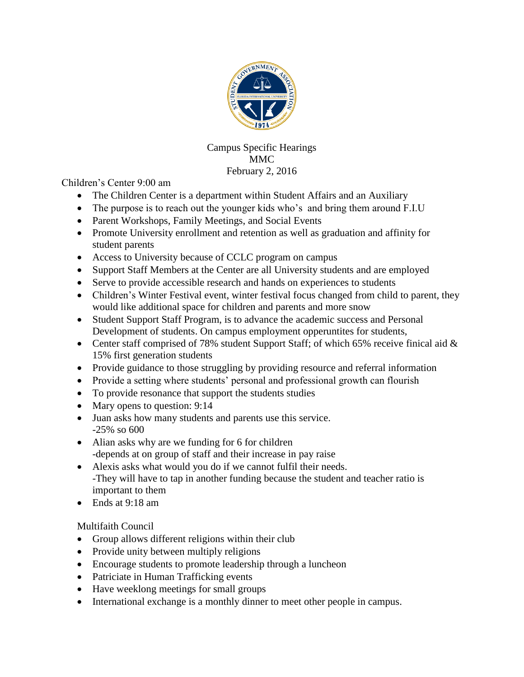

Campus Specific Hearings MMC February 2, 2016

Children's Center 9:00 am

- The Children Center is a department within Student Affairs and an Auxiliary
- The purpose is to reach out the younger kids who's and bring them around F.I.U
- Parent Workshops, Family Meetings, and Social Events
- Promote University enrollment and retention as well as graduation and affinity for student parents
- Access to University because of CCLC program on campus
- Support Staff Members at the Center are all University students and are employed
- Serve to provide accessible research and hands on experiences to students
- Children's Winter Festival event, winter festival focus changed from child to parent, they would like additional space for children and parents and more snow
- Student Support Staff Program, is to advance the academic success and Personal Development of students. On campus employment opperuntites for students,
- Center staff comprised of 78% student Support Staff; of which 65% receive finical aid  $\&$ 15% first generation students
- Provide guidance to those struggling by providing resource and referral information
- Provide a setting where students' personal and professional growth can flourish
- To provide resonance that support the students studies
- Mary opens to question: 9:14
- Juan asks how many students and parents use this service. -25% so 600
- Alian asks why are we funding for 6 for children -depends at on group of staff and their increase in pay raise
- Alexis asks what would you do if we cannot fulfil their needs. -They will have to tap in another funding because the student and teacher ratio is important to them
- Ends at 9:18 am

Multifaith Council

- Group allows different religions within their club
- Provide unity between multiply religions
- Encourage students to promote leadership through a luncheon
- Patriciate in Human Trafficking events
- Have weeklong meetings for small groups
- International exchange is a monthly dinner to meet other people in campus.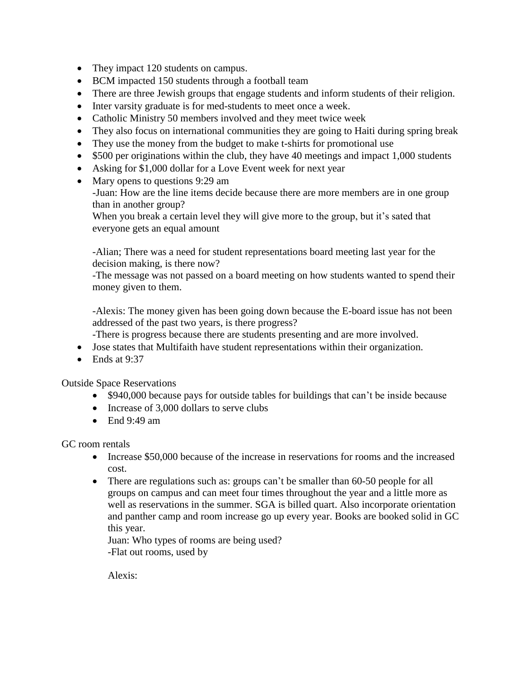- They impact 120 students on campus.
- BCM impacted 150 students through a football team
- There are three Jewish groups that engage students and inform students of their religion.
- Inter varsity graduate is for med-students to meet once a week.
- Catholic Ministry 50 members involved and they meet twice week
- They also focus on international communities they are going to Haiti during spring break
- They use the money from the budget to make t-shirts for promotional use
- \$500 per originations within the club, they have 40 meetings and impact 1,000 students
- Asking for \$1,000 dollar for a Love Event week for next year
- Mary opens to questions 9:29 am -Juan: How are the line items decide because there are more members are in one group than in another group?

When you break a certain level they will give more to the group, but it's sated that everyone gets an equal amount

-Alian; There was a need for student representations board meeting last year for the decision making, is there now?

-The message was not passed on a board meeting on how students wanted to spend their money given to them.

-Alexis: The money given has been going down because the E-board issue has not been addressed of the past two years, is there progress?

-There is progress because there are students presenting and are more involved.

- Jose states that Multifaith have student representations within their organization.
- Ends at  $9:37$

Outside Space Reservations

- \$940,000 because pays for outside tables for buildings that can't be inside because
- Increase of 3,000 dollars to serve clubs
- End  $9:49 \text{ am}$

GC room rentals

- Increase \$50,000 because of the increase in reservations for rooms and the increased cost.
- There are regulations such as: groups can't be smaller than 60-50 people for all groups on campus and can meet four times throughout the year and a little more as well as reservations in the summer. SGA is billed quart. Also incorporate orientation and panther camp and room increase go up every year. Books are booked solid in GC this year.

Juan: Who types of rooms are being used? -Flat out rooms, used by

Alexis: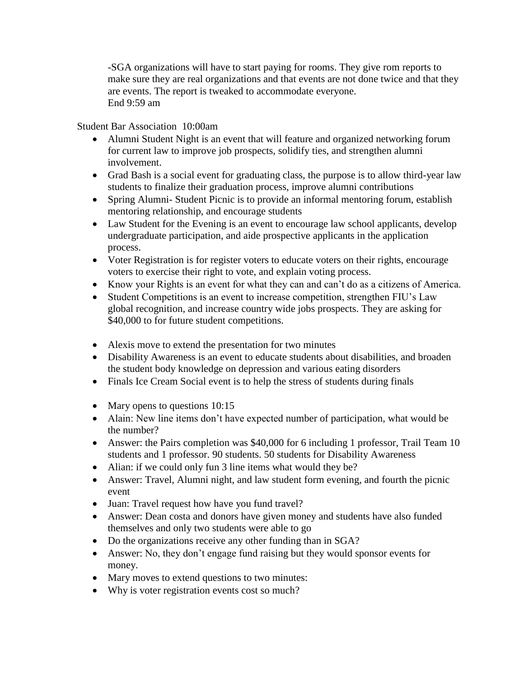-SGA organizations will have to start paying for rooms. They give rom reports to make sure they are real organizations and that events are not done twice and that they are events. The report is tweaked to accommodate everyone. End 9:59 am

Student Bar Association 10:00am

- Alumni Student Night is an event that will feature and organized networking forum for current law to improve job prospects, solidify ties, and strengthen alumni involvement.
- Grad Bash is a social event for graduating class, the purpose is to allow third-year law students to finalize their graduation process, improve alumni contributions
- Spring Alumni- Student Picnic is to provide an informal mentoring forum, establish mentoring relationship, and encourage students
- Law Student for the Evening is an event to encourage law school applicants, develop undergraduate participation, and aide prospective applicants in the application process.
- Voter Registration is for register voters to educate voters on their rights, encourage voters to exercise their right to vote, and explain voting process.
- Know your Rights is an event for what they can and can't do as a citizens of America.
- Student Competitions is an event to increase competition, strengthen FIU's Law global recognition, and increase country wide jobs prospects. They are asking for \$40,000 to for future student competitions.
- Alexis move to extend the presentation for two minutes
- Disability Awareness is an event to educate students about disabilities, and broaden the student body knowledge on depression and various eating disorders
- Finals Ice Cream Social event is to help the stress of students during finals
- Mary opens to questions 10:15
- Alain: New line items don't have expected number of participation, what would be the number?
- Answer: the Pairs completion was \$40,000 for 6 including 1 professor, Trail Team 10 students and 1 professor. 90 students. 50 students for Disability Awareness
- Alian: if we could only fun 3 line items what would they be?
- Answer: Travel, Alumni night, and law student form evening, and fourth the picnic event
- Juan: Travel request how have you fund travel?
- Answer: Dean costa and donors have given money and students have also funded themselves and only two students were able to go
- Do the organizations receive any other funding than in SGA?
- Answer: No, they don't engage fund raising but they would sponsor events for money.
- Mary moves to extend questions to two minutes:
- Why is voter registration events cost so much?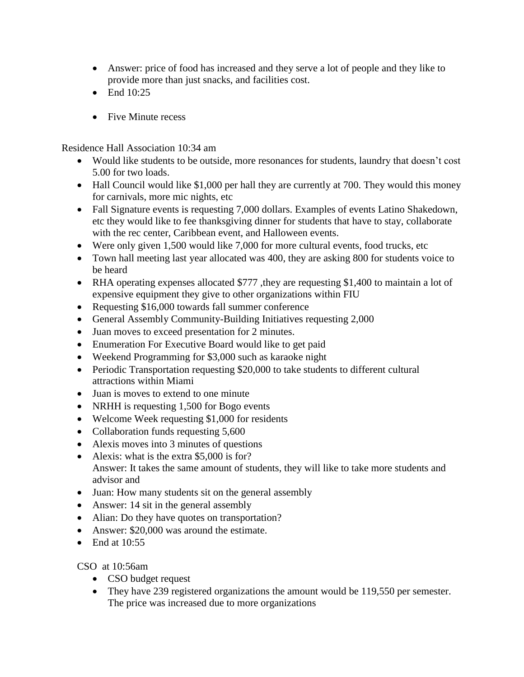- Answer: price of food has increased and they serve a lot of people and they like to provide more than just snacks, and facilities cost.
- $\bullet$  End 10:25
- Five Minute recess

Residence Hall Association 10:34 am

- Would like students to be outside, more resonances for students, laundry that doesn't cost 5.00 for two loads.
- Hall Council would like \$1,000 per hall they are currently at 700. They would this money for carnivals, more mic nights, etc
- Fall Signature events is requesting 7,000 dollars. Examples of events Latino Shakedown, etc they would like to fee thanksgiving dinner for students that have to stay, collaborate with the rec center, Caribbean event, and Halloween events.
- Were only given 1,500 would like 7,000 for more cultural events, food trucks, etc
- Town hall meeting last year allocated was 400, they are asking 800 for students voice to be heard
- RHA operating expenses allocated \$777, they are requesting \$1,400 to maintain a lot of expensive equipment they give to other organizations within FIU
- Requesting \$16,000 towards fall summer conference
- General Assembly Community-Building Initiatives requesting 2,000
- Juan moves to exceed presentation for 2 minutes.
- Enumeration For Executive Board would like to get paid
- Weekend Programming for \$3,000 such as karaoke night
- Periodic Transportation requesting \$20,000 to take students to different cultural attractions within Miami
- Juan is moves to extend to one minute
- NRHH is requesting 1,500 for Bogo events
- Welcome Week requesting \$1,000 for residents
- Collaboration funds requesting 5,600
- Alexis moves into 3 minutes of questions
- Alexis: what is the extra \$5,000 is for? Answer: It takes the same amount of students, they will like to take more students and advisor and
- Juan: How many students sit on the general assembly
- Answer: 14 sit in the general assembly
- Alian: Do they have quotes on transportation?
- Answer: \$20,000 was around the estimate.
- End at  $10:55$

CSO at 10:56am

- CSO budget request
- They have 239 registered organizations the amount would be 119,550 per semester. The price was increased due to more organizations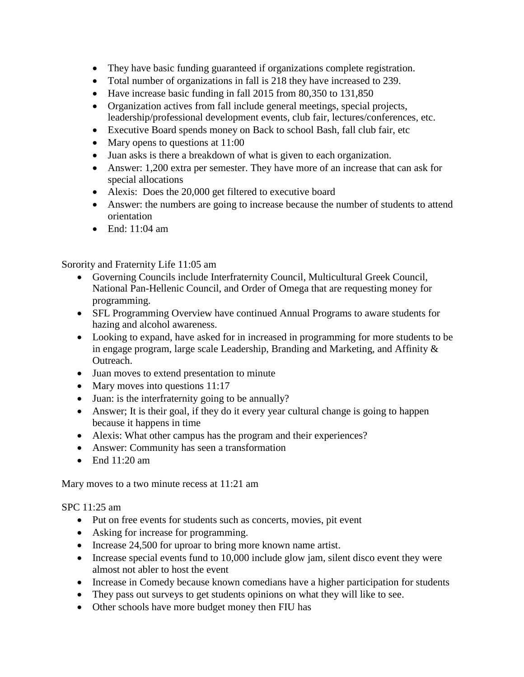- They have basic funding guaranteed if organizations complete registration.
- Total number of organizations in fall is 218 they have increased to 239.
- Have increase basic funding in fall 2015 from 80,350 to 131,850
- Organization actives from fall include general meetings, special projects, leadership/professional development events, club fair, lectures/conferences, etc.
- Executive Board spends money on Back to school Bash, fall club fair, etc
- Mary opens to questions at 11:00
- Juan asks is there a breakdown of what is given to each organization.
- Answer: 1,200 extra per semester. They have more of an increase that can ask for special allocations
- Alexis: Does the 20,000 get filtered to executive board
- Answer: the numbers are going to increase because the number of students to attend orientation
- End:  $11:04$  am

Sorority and Fraternity Life 11:05 am

- Governing Councils include Interfraternity Council, Multicultural Greek Council, National Pan-Hellenic Council, and Order of Omega that are requesting money for programming.
- SFL Programming Overview have continued Annual Programs to aware students for hazing and alcohol awareness.
- Looking to expand, have asked for in increased in programming for more students to be in engage program, large scale Leadership, Branding and Marketing, and Affinity & Outreach.
- Juan moves to extend presentation to minute
- Mary moves into questions 11:17
- Juan: is the interfraternity going to be annually?
- Answer; It is their goal, if they do it every year cultural change is going to happen because it happens in time
- Alexis: What other campus has the program and their experiences?
- Answer: Community has seen a transformation
- End  $11:20$  am

Mary moves to a two minute recess at 11:21 am

SPC 11:25 am

- Put on free events for students such as concerts, movies, pit event
- Asking for increase for programming.
- Increase 24,500 for uproar to bring more known name artist.
- Increase special events fund to 10,000 include glow jam, silent disco event they were almost not abler to host the event
- Increase in Comedy because known comedians have a higher participation for students
- They pass out surveys to get students opinions on what they will like to see.
- Other schools have more budget money then FIU has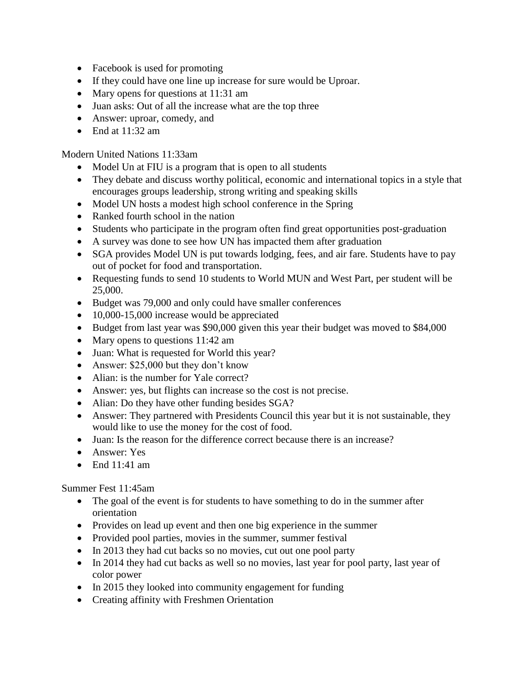- Facebook is used for promoting
- If they could have one line up increase for sure would be Uproar.
- Mary opens for questions at 11:31 am
- Juan asks: Out of all the increase what are the top three
- Answer: uproar, comedy, and
- End at  $11:32$  am

Modern United Nations 11:33am

- Model Un at FIU is a program that is open to all students
- They debate and discuss worthy political, economic and international topics in a style that encourages groups leadership, strong writing and speaking skills
- Model UN hosts a modest high school conference in the Spring
- Ranked fourth school in the nation
- Students who participate in the program often find great opportunities post-graduation
- A survey was done to see how UN has impacted them after graduation
- SGA provides Model UN is put towards lodging, fees, and air fare. Students have to pay out of pocket for food and transportation.
- Requesting funds to send 10 students to World MUN and West Part, per student will be 25,000.
- Budget was 79,000 and only could have smaller conferences
- 10,000-15,000 increase would be appreciated
- Budget from last year was \$90,000 given this year their budget was moved to \$84,000
- Mary opens to questions 11:42 am
- Juan: What is requested for World this year?
- Answer: \$25,000 but they don't know
- Alian: is the number for Yale correct?
- Answer: yes, but flights can increase so the cost is not precise.
- Alian: Do they have other funding besides SGA?
- Answer: They partnered with Presidents Council this year but it is not sustainable, they would like to use the money for the cost of food.
- Juan: Is the reason for the difference correct because there is an increase?
- Answer: Yes
- End  $11:41$  am

Summer Fest 11:45am

- The goal of the event is for students to have something to do in the summer after orientation
- Provides on lead up event and then one big experience in the summer
- Provided pool parties, movies in the summer, summer festival
- In 2013 they had cut backs so no movies, cut out one pool party
- In 2014 they had cut backs as well so no movies, last year for pool party, last year of color power
- In 2015 they looked into community engagement for funding
- Creating affinity with Freshmen Orientation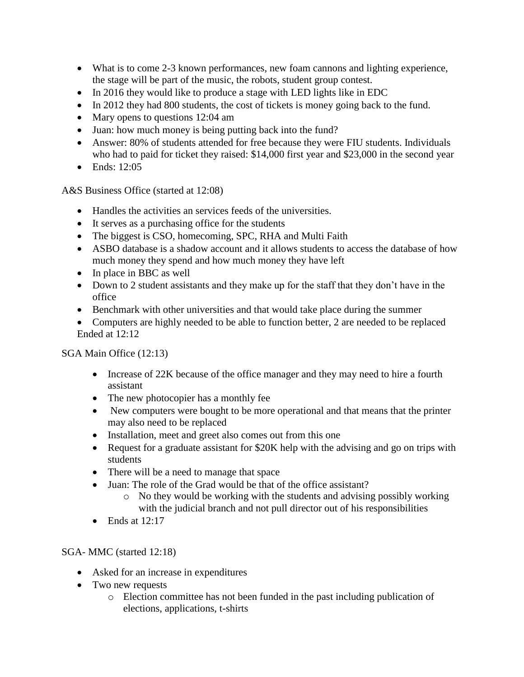- What is to come 2-3 known performances, new foam cannons and lighting experience, the stage will be part of the music, the robots, student group contest.
- In 2016 they would like to produce a stage with LED lights like in EDC
- In 2012 they had 800 students, the cost of tickets is money going back to the fund.
- Mary opens to questions 12:04 am
- Juan: how much money is being putting back into the fund?
- Answer: 80% of students attended for free because they were FIU students. Individuals who had to paid for ticket they raised: \$14,000 first year and \$23,000 in the second year
- Ends: 12:05

A&S Business Office (started at 12:08)

- Handles the activities an services feeds of the universities.
- It serves as a purchasing office for the students
- The biggest is CSO, homecoming, SPC, RHA and Multi Faith
- ASBO database is a shadow account and it allows students to access the database of how much money they spend and how much money they have left
- In place in BBC as well
- Down to 2 student assistants and they make up for the staff that they don't have in the office
- Benchmark with other universities and that would take place during the summer
- Computers are highly needed to be able to function better, 2 are needed to be replaced Ended at 12:12

## SGA Main Office (12:13)

- Increase of 22K because of the office manager and they may need to hire a fourth assistant
- The new photocopier has a monthly fee
- New computers were bought to be more operational and that means that the printer may also need to be replaced
- Installation, meet and greet also comes out from this one
- Request for a graduate assistant for \$20K help with the advising and go on trips with students
- There will be a need to manage that space
- Juan: The role of the Grad would be that of the office assistant?
	- $\circ$  No they would be working with the students and advising possibly working with the judicial branch and not pull director out of his responsibilities
- Ends at  $12:17$

## SGA- MMC (started 12:18)

- Asked for an increase in expenditures
- Two new requests
	- o Election committee has not been funded in the past including publication of elections, applications, t-shirts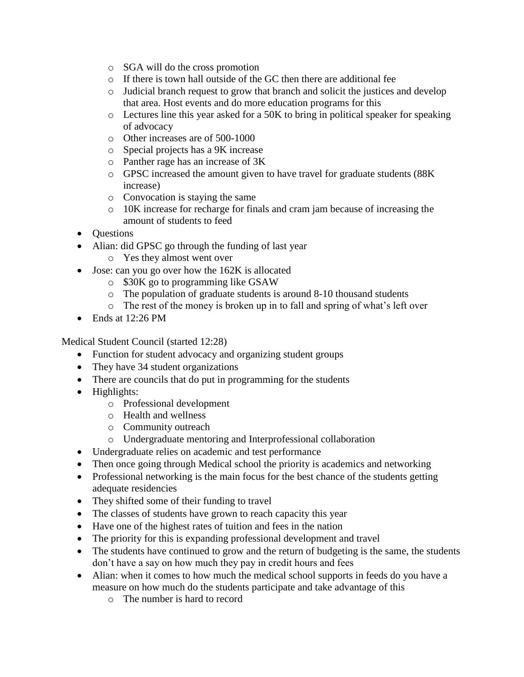- o SGA will do the cross promotion
- o If there is town hall outside of the GC then there are additional fee
- o Judicial branch request to grow that branch and solicit the justices and develop that area. Host events and do more education programs for this
- o Lectures line this year asked for a 50K to bring in political speaker for speaking of advocacy
- o Other increases are of 500-1000
- o Special projects has a 9K increase
- o Panther rage has an increase of 3K
- o GPSC increased the amount given to have travel for graduate students (88K increase)
- o Convocation is staying the same
- o 10K increase for recharge for finals and cram jam because of increasing the amount of students to feed
- Questions
- Alian: did GPSC go through the funding of last year
	- o Yes they almost went over
- Jose: can you go over how the 162K is allocated
	- o \$30K go to programming like GSAW
	- o The population of graduate students is around 8-10 thousand students
	- o The rest of the money is broken up in to fall and spring of what's left over
- Ends at 12:26 PM

Medical Student Council (started 12:28)

- Function for student advocacy and organizing student groups
- They have 34 student organizations
- There are councils that do put in programming for the students
- Highlights:
	- o Professional development
	- o Health and wellness
	- o Community outreach
	- o Undergraduate mentoring and Interprofessional collaboration
- Undergraduate relies on academic and test performance
- Then once going through Medical school the priority is academics and networking
- Professional networking is the main focus for the best chance of the students getting adequate residencies
- They shifted some of their funding to travel
- The classes of students have grown to reach capacity this year
- Have one of the highest rates of tuition and fees in the nation
- The priority for this is expanding professional development and travel
- The students have continued to grow and the return of budgeting is the same, the students don't have a say on how much they pay in credit hours and fees
- Alian: when it comes to how much the medical school supports in feeds do you have a measure on how much do the students participate and take advantage of this
	- o The number is hard to record